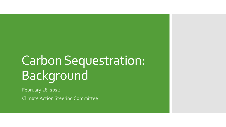# Carbon Sequestration: Background

February 28, 2022

Climate Action Steering Committee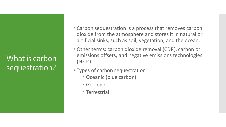What is carbon sequestration?

- Carbon sequestration is a process that removes carbon dioxide from the atmosphere and stores it in natural or artificial sinks, such as soil, vegetation, and the ocean.
- Other terms: carbon dioxide removal (CDR), carbon or emissions offsets, and negative emissions technologies (NETs)
- Types of carbon sequestration
	- Oceanic (blue carbon)
	- Geologic
	- Terrestrial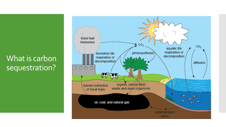### What is carbon sequestration?

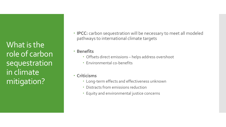What is the role of carbon sequestration in climate mitigation?

- **IPCC:** carbon sequestration will be necessary to meet all modeled pathways to international climate targets
- **· Benefits** 
	- Offsets direct emissions helps address overshoot
	- Environmental co-benefits
- **Criticisms**
	- Long-term effects and effectiveness unknown
	- Distracts from emissions reduction
	- Equity and environmental justice concerns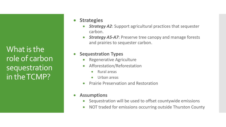What is the role of carbon sequestration in the TCMP?

- **Strategies**
	- *Strategy A2*: Support agricultural practices that sequester carbon.
	- *Strategy A5-A7*: Preserve tree canopy and manage forests and prairies to sequester carbon.
- **Sequestration Types**
	- Regenerative Agriculture
	- Afforestation/Reforestation
		- Rural areas
		- Urban areas
	- Prairie Preservation and Restoration
- **Assumptions**
	- Sequestration will be used to offset countywide emissions
	- NOT traded for emissions occurring outside Thurston County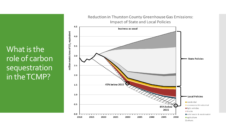What is the role of carbon sequestration in the TCMP?

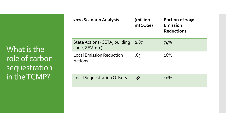What is the role of carbon sequestration in the TCMP?

| 2020 Scenario Analysis                                  | (million<br>mtCO2e) | Portion of 2050<br>Emission<br><b>Reductions</b> |
|---------------------------------------------------------|---------------------|--------------------------------------------------|
| <b>State Actions (CETA, building</b><br>code, ZEV, etc) | 2.87                | 74%                                              |
| <b>Local Emission Reduction</b><br><b>Actions</b>       | .63                 | 16%                                              |
| <b>Local Sequestration Offsets</b>                      | .38                 | 10%                                              |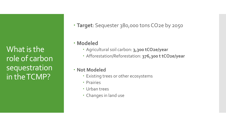What is the role of carbon sequestration in the TCMP?

**Target**: Sequester 380,000 tons CO2e by 2050

#### **Modeled**

- Agricultural soil carbon: **3,300 tCO2e/year**
- Afforestation/Reforestation: **376,300 t tCO2e/year**
- **Not Modeled**
	- Existing trees or other ecosystems
	- Prairies
	- Urban trees
	- Changes in land use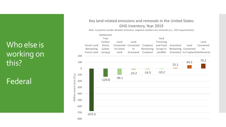## Who else is working on this?

# Federal

#### Key land-related emissions and removals in the United States GHG Inventory, Year 2019

*Note: A positive number denotes emissions, negative numbers are removals (i.e., CO2 sequestration)*

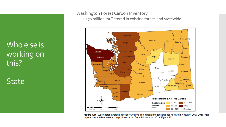Who else is working on this?

**State** 

#### Washington Forest Carbon Inventory

270 million mtC stored in existing forest land statewide



Figure 4.16. Washington average aboveground live tree carbon (megagrams per hectare) by county, 2007-2016. Map depicts only the live tree carbon pool (extracted from Palmer et al. 2019, Figure 17)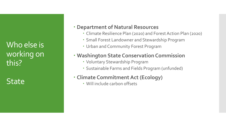Who else is working on this?

**State** 

#### **Department of Natural Resources**

- Climate Resilience Plan (2020) and Forest Action Plan (2020)
- Small Forest Landowner and Stewardship Program
- Urban and Community Forest Program

#### **Washington State Conservation Commission**

- Voluntary Stewardship Program
- Sustainable Farms and Fields Program (unfunded)

#### **Climate Commitment Act (Ecology)**

Will include carbon offsets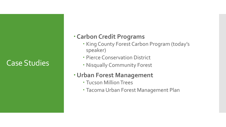### Case Studies

### **Carbon Credit Programs**

- King County Forest Carbon Program (today's speaker)
- Pierce Conservation District
- Nisqually Community Forest

### **Urban Forest Management**

- Tucson Million Trees
- Tacoma Urban Forest Management Plan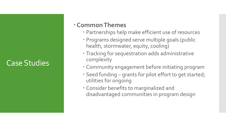### Case Studies

#### **Common Themes**

- Partnerships help make efficient use of resources
- Programs designed serve multiple goals (public health, stormwater, equity, cooling)
- Tracking for sequestration adds administrative complexity
- Community engagement before initiating program
- Seed funding grants for pilot effort to get started; utilities for ongoing
- Consider benefits to marginalized and disadvantaged communities in program design